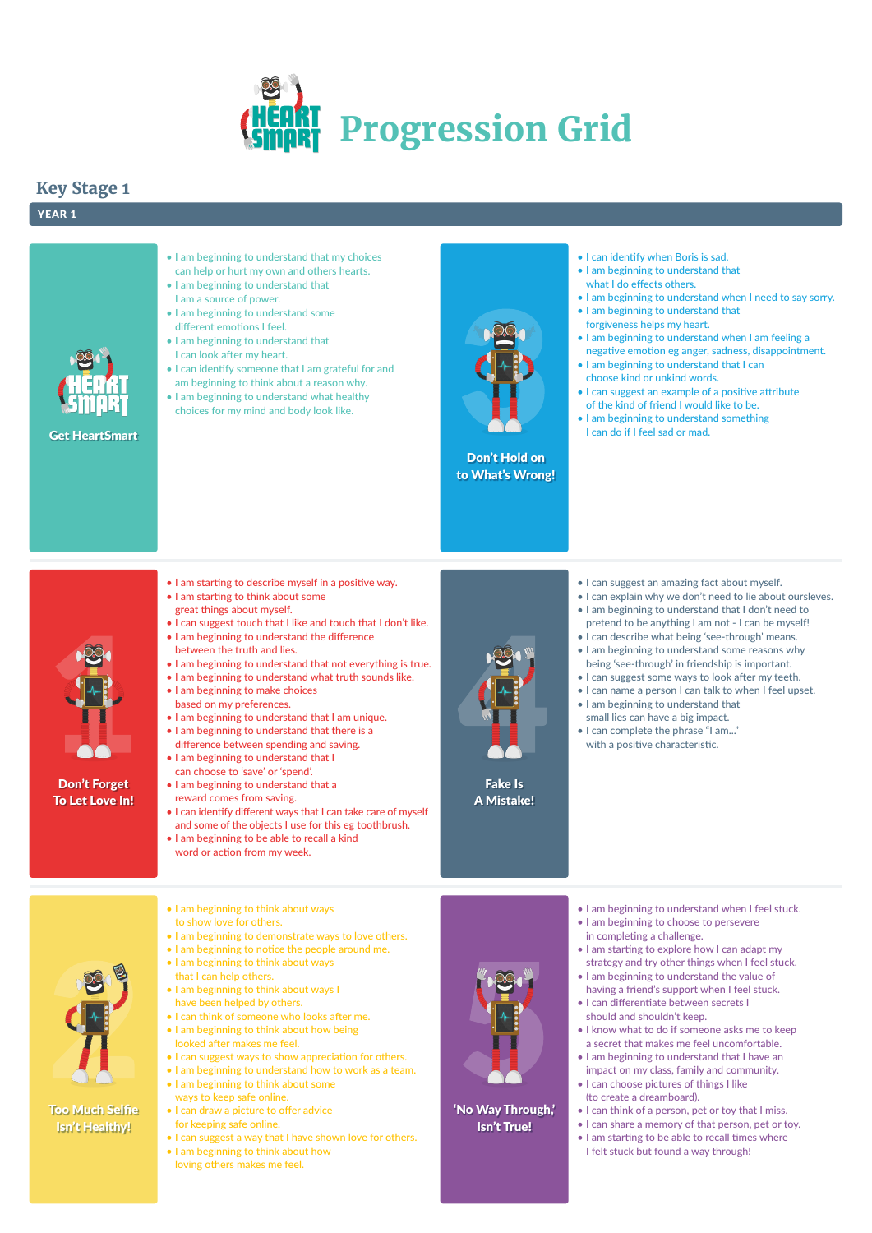

Don't Forget To Let Love In!



Don't Hold on to What's Wrong!

Fake Is A Mistake!

### 'No Way Through,' Isn't True!

Get HeartSmart

# **Key Stage 1**

### YEAR 1



• I am beginning to understand that my choices can help or hurt my own and others hearts.

- I am beginning to understand that I am a source of power.
- I am beginning to understand some different emotions I feel.
- I am beginning to understand that I can look after my heart.
- I can identify someone that I am grateful for and am beginning to think about a reason why.
- I am beginning to understand what healthy choices for my mind and body look like.
- I can identify when Boris is sad.
- I am beginning to understand that what I do effects others.
- I am beginning to understand when I need to say sorry.
- I am beginning to understand that forgiveness helps my heart.
- I am beginning to understand when I am feeling a negative emotion eg anger, sadness, disappointment.
- I am beginning to understand that I can choose kind or unkind words.
- I can suggest an example of a positive attribute of the kind of friend I would like to be.
- I am beginning to understand something I can do if I feel sad or mad.

- I can suggest an amazing fact about myself.
- I can explain why we don't need to lie about oursleves.
- I am beginning to understand that I don't need to pretend to be anything I am not - I can be myself!
- I can describe what being 'see-through' means.
- I am beginning to understand some reasons why being 'see-through' in friendship is important.
- I can suggest some ways to look after my teeth.
- I can name a person I can talk to when I feel upset.
- I am beginning to understand that small lies can have a big impact.
- I can complete the phrase "I am..." with a positive characteristic.
- I am beginning to understand when I feel stuck.
- I am beginning to choose to persevere
- 



- in completing a challenge.
- I am starting to explore how I can adapt my strategy and try other things when I feel stuck.
- I am beginning to understand the value of having a friend's support when I feel stuck.
- I can differentiate between secrets I should and shouldn't keep.
- I know what to do if someone asks me to keep a secret that makes me feel uncomfortable.
- I am beginning to understand that I have an impact on my class, family and community.
- I can choose pictures of things I like (to create a dreamboard).
- I can think of a person, pet or toy that I miss.
- I can share a memory of that person, pet or toy.
- I am starting to be able to recall times where I felt stuck but found a way through!
- I am starting to describe myself in a positive way.
- I am starting to think about some great things about myself.
- I can suggest touch that I like and touch that I don't like.
- I am beginning to understand the difference between the truth and lies.
- I am beginning to understand that not everything is true.
- I am beginning to understand what truth sounds like. • I am beginning to make choices
- based on my preferences. • I am beginning to understand that I am unique.
- I am beginning to understand that there is a
- difference between spending and saving.
- I am beginning to understand that I can choose to 'save' or 'spend'.
- I am beginning to understand that a reward comes from saving.
- I can identify different ways that I can take care of myself and some of the objects I use for this eg toothbrush.
- I am beginning to be able to recall a kind word or action from my week.



• I am beginning to think about ways to show love for others.

- I am beginning to demonstrate ways to love others.
- I am beginning to notice the people around me.
- I am beginning to think about ways that I can help others.
- I am beginning to think about ways I have been helped by others.
- I can think of someone who looks after me.
- I am beginning to think about how being looked after makes me feel.
- I can suggest ways to show appreciation for others.
- I am beginning to understand how to work as a team.
- I am beginning to think about some ways to keep safe online.
- I can draw a picture to offer advice for keeping safe online.
- I can suggest a way that I have shown love for others.
- I am beginning to think about how loving others makes me feel.

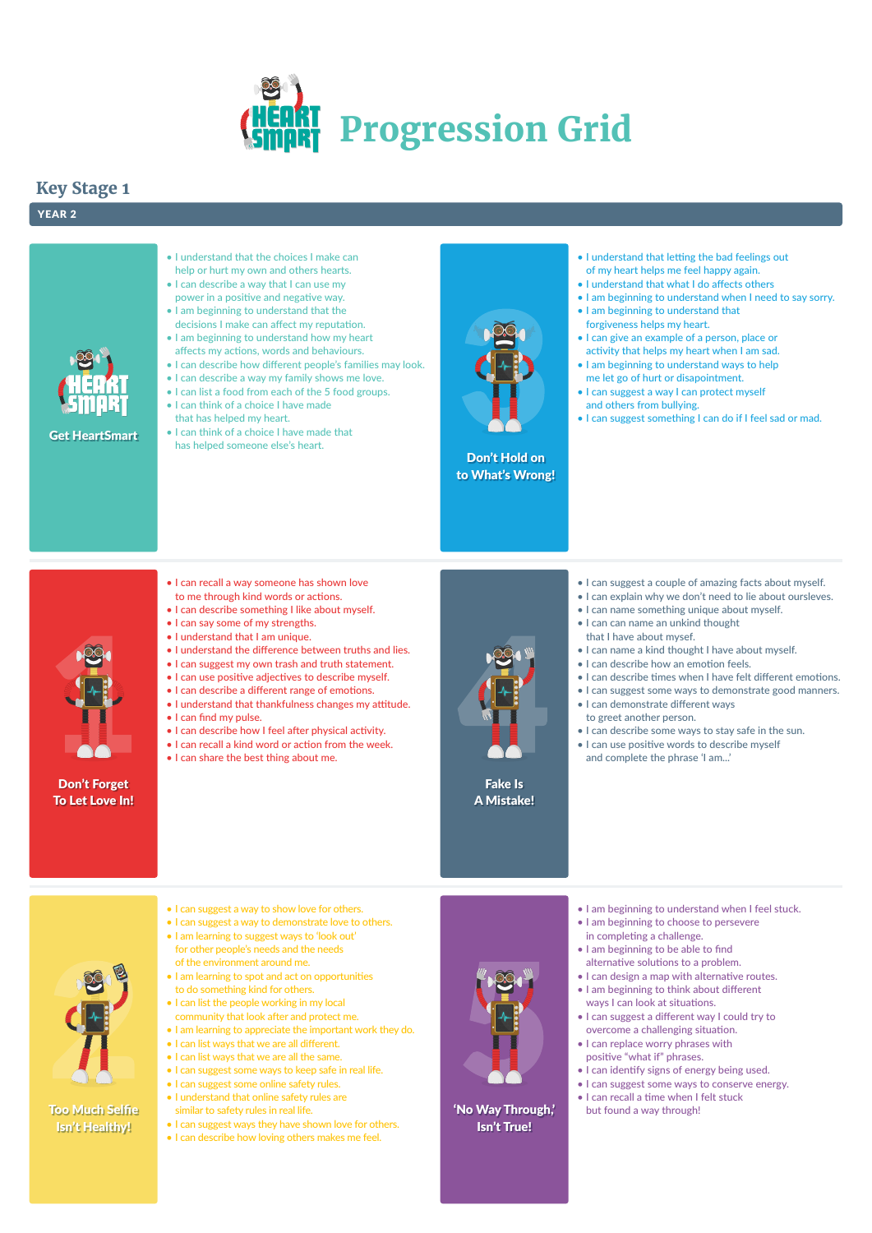



Don't Forget To Let Love In!



Don't Hold on to What's Wrong!



Fake Is A Mistake!

### 'No Way Through,' Isn't True!

Get HeartSmart

# **Key Stage 1**

### YEAR 2



- I understand that the choices I make can help or hurt my own and others hearts.
- I can describe a way that I can use my power in a positive and negative way.
- I am beginning to understand that the decisions I make can affect my reputation.
- I am beginning to understand how my heart affects my actions, words and behaviours.
- I can describe how different people's families may look.
- I can describe a way my family shows me love.
- I can list a food from each of the 5 food groups.
- I can think of a choice I have made that has helped my heart.
- I can think of a choice I have made that has helped someone else's heart.
- I understand that letting the bad feelings out of my heart helps me feel happy again.
- I understand that what I do affects others
- I am beginning to understand when I need to say sorry.
- I am beginning to understand that forgiveness helps my heart.
- I can give an example of a person, place or activity that helps my heart when I am sad.
- I am beginning to understand ways to help me let go of hurt or disapointment.
- I can suggest a way I can protect myself and others from bullying.
- I can suggest something I can do if I feel sad or mad.

- I can suggest a couple of amazing facts about myself.
- I can explain why we don't need to lie about oursleves.
- I can name something unique about myself.
- I can can name an unkind thought that I have about mysef.
- I can name a kind thought I have about myself.
- I can describe how an emotion feels.
- I can describe times when I have felt different emotions.
- I can suggest some ways to demonstrate good manners.
- I can demonstrate different ways to greet another person.
- I can describe some ways to stay safe in the sun.
- I can use positive words to describe myself and complete the phrase 'I am...'

- I am learning to suggest ways to 'look out' for other people's needs and the needs of the environment around me.
- I am learning to spot and act on opportunities to do something kind for others.
- I can list the people working in my local community that look after and protect me.
- I am learning to appreciate the important work they do.
- I can list ways that we are all different.
- I can list ways that we are all the same.
- I can suggest some ways to keep safe in real life.
- I can suggest some online safety rules.
- I understand that online safety rules are
- similar to safety rules in real life.
- I can suggest ways they have shown love for others.
- I can describe how loving others makes me feel.



- I am beginning to understand when I feel stuck.
- I am beginning to choose to persevere



- in completing a challenge.
- I am beginning to be able to find alternative solutions to a problem.
- I can design a map with alternative routes.
- I am beginning to think about different ways I can look at situations.
- I can suggest a different way I could try to overcome a challenging situation.
- I can replace worry phrases with positive "what if" phrases.
- I can identify signs of energy being used.
- I can suggest some ways to conserve energy.
- I can recall a time when I felt stuck but found a way through!
- I can recall a way someone has shown love to me through kind words or actions.
- I can describe something I like about myself.
- I can say some of my strengths.
- I understand that I am unique.
- I understand the difference between truths and lies.
- I can suggest my own trash and truth statement.
- I can use positive adjectives to describe myself.
- I can describe a different range of emotions.
- I understand that thankfulness changes my attitude. • I can find my pulse.
- I can describe how I feel after physical activity.
- I can recall a kind word or action from the week.
- I can share the best thing about me.

- I can suggest a way to show love for others.
- I can suggest a way to demonstrate love to others.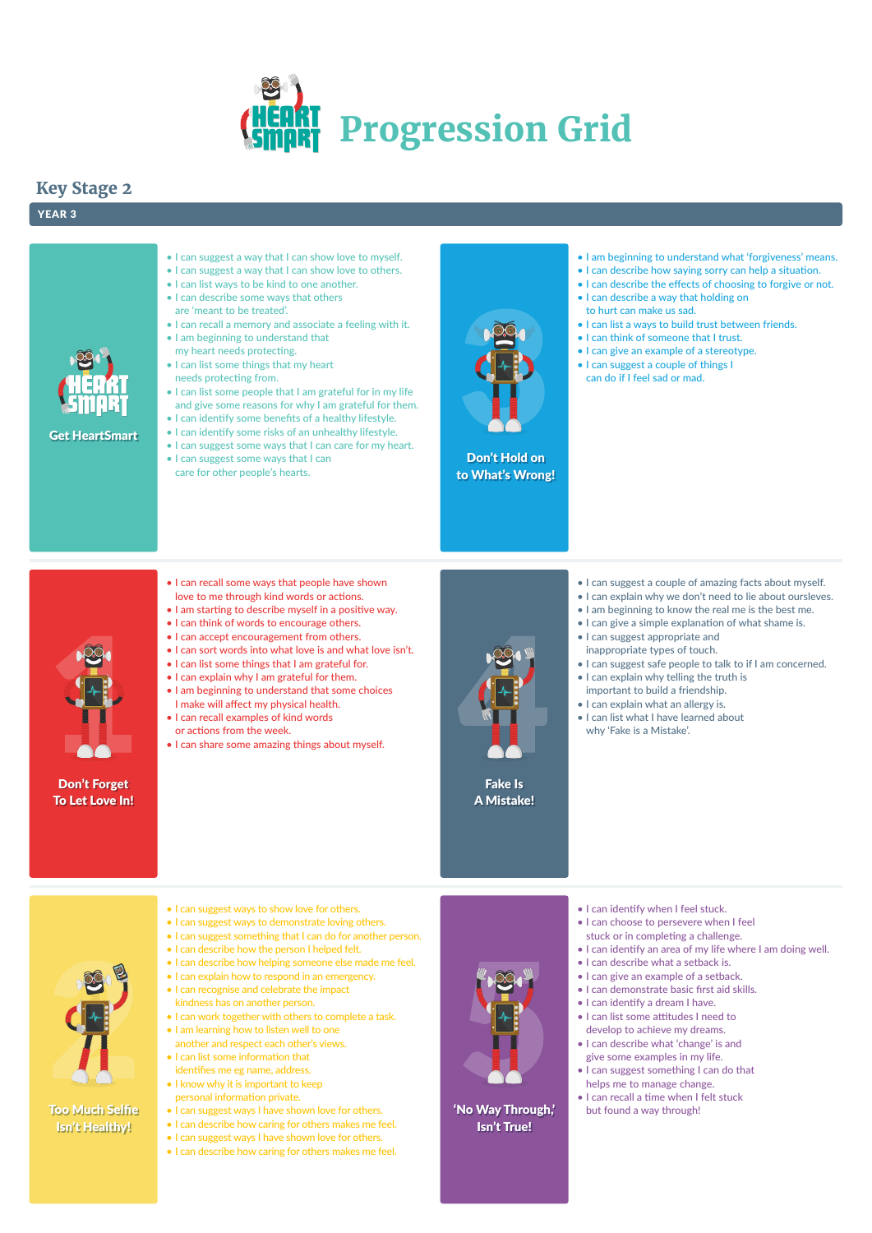



Don't Forget To Let Love In!



Don't Hold on to What's Wrong!

Fake Is A Mistake!

'No Way Through,' Isn't True!

Get HeartSmart

# **Key Stage 2**

### YEAR 3



#### • I can suggest a way that I can show love to myself.

- I can suggest a way that I can show love to others.
- I can list ways to be kind to one another.
- I can describe some ways that others are 'meant to be treated'.
- I can recall a memory and associate a feeling with it.
- I am beginning to understand that my heart needs protecting.
- I can list some things that my heart needs protecting from.
- I can list some people that I am grateful for in my life and give some reasons for why I am grateful for them.
- I can identify some benefits of a healthy lifestyle.
- I can identify some risks of an unhealthy lifestyle.
- I can suggest some ways that I can care for my heart.
- I can suggest some ways that I can care for other people's hearts.
- I am beginning to understand what 'forgiveness' means.
- I can describe how saying sorry can help a situation.
- I can describe the effects of choosing to forgive or not.
- I can describe a way that holding on to hurt can make us sad.
- I can list a ways to build trust between friends.
- I can think of someone that I trust.
- I can give an example of a stereotype.
- I can suggest a couple of things I can do if I feel sad or mad.

- I can suggest ways to show love for others.
- I can suggest ways to demonstrate loving others.
- I can suggest a couple of amazing facts about myself.
- I can explain why we don't need to lie about oursleves.
- I am beginning to know the real me is the best me.
- I can give a simple explanation of what shame is.
- I can suggest appropriate and inappropriate types of touch.
- I can suggest safe people to talk to if I am concerned.
- I can explain why telling the truth is important to build a friendship.
- I can explain what an allergy is.
- I can list what I have learned about why 'Fake is a Mistake'.

- I can identify when I feel stuck.
- I can choose to persevere when I feel



- stuck or in completing a challenge.
- I can identify an area of my life where I am doing well.
- I can describe what a setback is.
- I can give an example of a setback.
- I can demonstrate basic first aid skills.
- I can identify a dream I have.
- I can list some attitudes I need to develop to achieve my dreams.
- I can describe what 'change' is and give some examples in my life.
- I can suggest something I can do that helps me to manage change.
- I can recall a time when I felt stuck but found a way through!
- I can recall some ways that people have shown love to me through kind words or actions.
- I am starting to describe myself in a positive way.
- I can think of words to encourage others.
- I can accept encouragement from others.
- I can sort words into what love is and what love isn't.
- I can list some things that I am grateful for.
- I can explain why I am grateful for them.
- I am beginning to understand that some choices I make will affect my physical health.
- I can recall examples of kind words or actions from the week.
- I can share some amazing things about myself.



- I can suggest something that I can do for another person.
- I can describe how the person I helped felt.
- I can describe how helping someone else made me feel.
- I can explain how to respond in an emergency.
- I can recognise and celebrate the impact
- kindness has on another person.
- I can work together with others to complete a task.
- I am learning how to listen well to one another and respect each other's views.
- I can list some information that identifies me eg name, address.
- I know why it is important to keep personal information private.
- I can suggest ways I have shown love for others.
- I can describe how caring for others makes me feel.
- I can suggest ways I have shown love for others.
- I can describe how caring for others makes me feel.

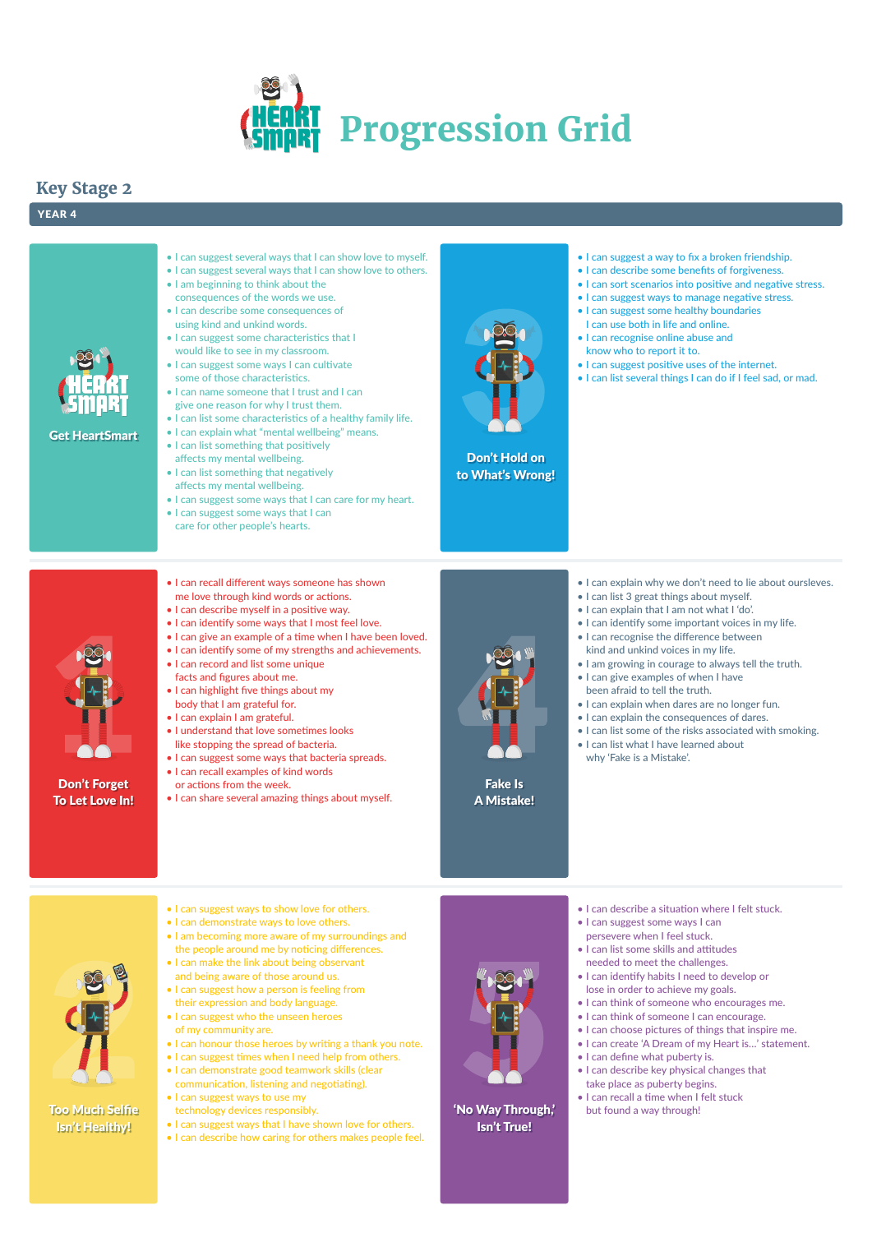



Don't Forget To Let Love In!



Don't Hold on to What's Wrong!

Fake Is A Mistake!

### 'No Way Through,' Isn't True!

Get HeartSmart

# **Key Stage 2**

### YEAR 4



- I can suggest several ways that I can show love to myself.
- I can suggest several ways that I can show love to others.
- I am beginning to think about the consequences of the words we use.
- I can describe some consequences of using kind and unkind words.
- I can suggest some characteristics that I would like to see in my classroom.
- I can suggest some ways I can cultivate some of those characteristics.
- I can name someone that I trust and I can give one reason for why I trust them.
- I can list some characteristics of a healthy family life.
- I can explain what "mental wellbeing" means.
- I can list something that positively affects my mental wellbeing.
- I can list something that negatively affects my mental wellbeing.
- I can suggest some ways that I can care for my heart.
- I can suggest some ways that I can care for other people's hearts.
- I can suggest a way to fix a broken friendship.
- I can describe some benefits of forgiveness.
- I can sort scenarios into positive and negative stress.
- I can suggest ways to manage negative stress.
- I can suggest some healthy boundaries I can use both in life and online.
- I can recognise online abuse and know who to report it to.
- I can suggest positive uses of the internet.
- I can list several things I can do if I feel sad, or mad.

- I can explain why we don't need to lie about oursleves.
- I can list 3 great things about myself.
- I can explain that I am not what I 'do'.
- I can identify some important voices in my life.
- I can recognise the difference between kind and unkind voices in my life.
- I am growing in courage to always tell the truth.
- I can give examples of when I have been afraid to tell the truth.
- I can explain when dares are no longer fun.
- I can explain the consequences of dares.
- I can list some of the risks associated with smoking.
- I can list what I have learned about why 'Fake is a Mistake'.

- I can describe a situation where I felt stuck.
- I can suggest some ways I can



- persevere when I feel stuck.
- I can list some skills and attitudes needed to meet the challenges.
- I can identify habits I need to develop or lose in order to achieve my goals.
- I can think of someone who encourages me.
- I can think of someone I can encourage.
- I can choose pictures of things that inspire me.
- I can create 'A Dream of my Heart is…' statement.
- I can define what puberty is.
- I can describe key physical changes that take place as puberty begins.
- I can recall a time when I felt stuck but found a way through!
- I can recall different ways someone has shown me love through kind words or actions.
- I can describe myself in a positive way.
- I can identify some ways that I most feel love.
- I can give an example of a time when I have been loved.
- I can identify some of my strengths and achievements.
- I can record and list some unique facts and figures about me.
- I can highlight five things about my body that I am grateful for.
- I can explain I am grateful.
- I understand that love sometimes looks like stopping the spread of bacteria.
- I can suggest some ways that bacteria spreads.
- I can recall examples of kind words or actions from the week.
- I can share several amazing things about myself.



- I can suggest ways to show love for others.
- I can demonstrate ways to love others.

- I am becoming more aware of my surroundings and the people around me by noticing differences.
- I can make the link about being observant and being aware of those around us.
- I can suggest how a person is feeling from their expression and body language.
- I can suggest who the unseen heroes of my community are.
- I can honour those heroes by writing a thank you note.
- I can suggest times when I need help from others.
- I can demonstrate good teamwork skills (clear communication, listening and negotiating).
- I can suggest ways to use my
- technology devices responsibly.
- I can suggest ways that I have shown love for others.
- I can describe how caring for others makes people feel.

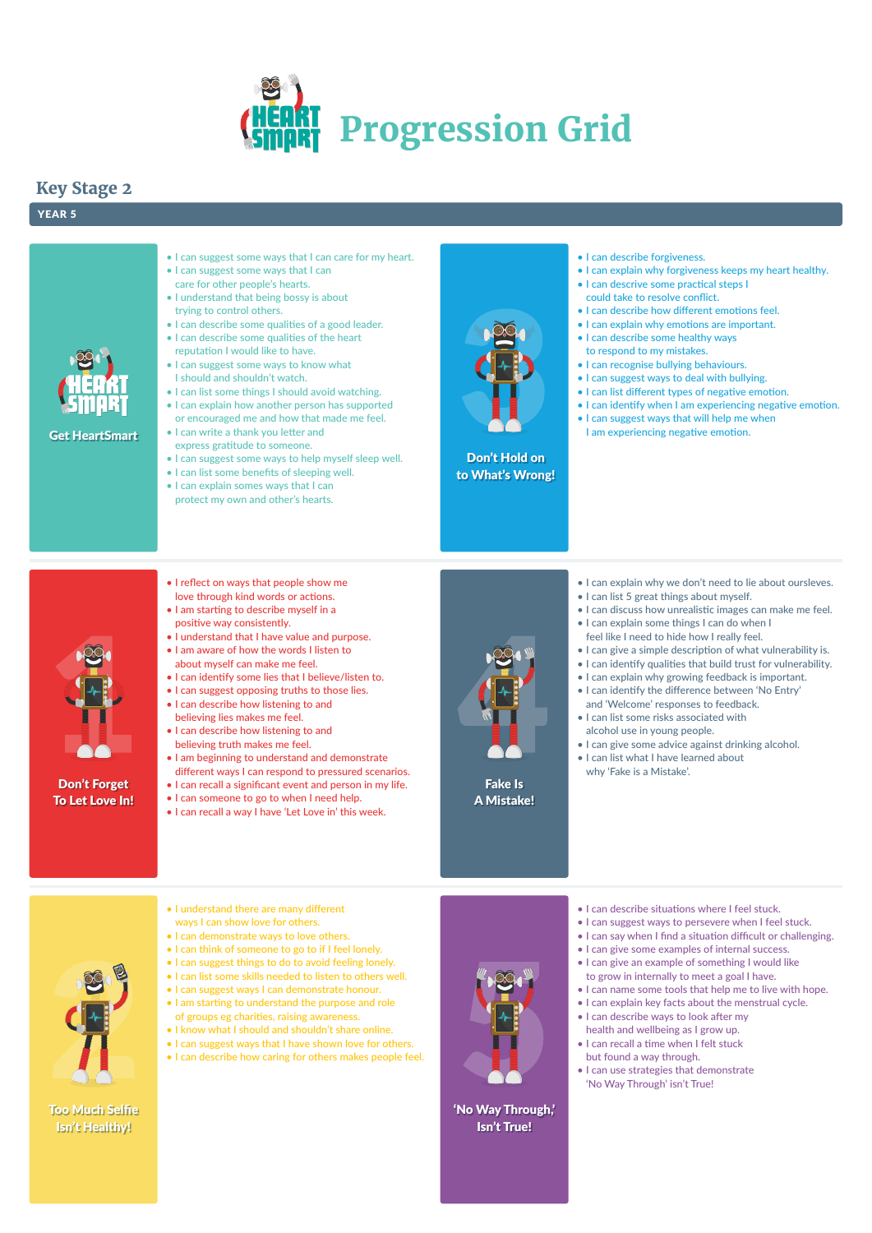



Don't Forget To Let Love In!



Don't Hold on to What's Wrong!

Fake Is A Mistake!

'No Way Through,' Isn't True!

Get HeartSmart

# **Key Stage 2**

### YEAR 5



- I can suggest some ways that I can care for my heart.
- I can suggest some ways that I can care for other people's hearts.
- I understand that being bossy is about trying to control others.
- I can describe some qualities of a good leader.
- I can describe some qualities of the heart reputation I would like to have.
- I can suggest some ways to know what I should and shouldn't watch.
- I can list some things I should avoid watching.
- I can explain how another person has supported or encouraged me and how that made me feel.
- I can write a thank you letter and express gratitude to someone.
- I can suggest some ways to help myself sleep well.
- I can list some benefits of sleeping well.
- I can explain somes ways that I can protect my own and other's hearts.



- I can explain why forgiveness keeps my heart healthy.
- I can descrive some practical steps I could take to resolve conflict.
- I can describe how different emotions feel.
- I can explain why emotions are important.
- I can describe some healthy ways to respond to my mistakes.
- I can recognise bullying behaviours.
- I can suggest ways to deal with bullying.
- I can list different types of negative emotion.
- I can identify when I am experiencing negative emotion.
- I can suggest ways that will help me when
- I am experiencing negative emotion.

- I can explain why we don't need to lie about oursleves.
- I can list 5 great things about myself.
- I can discuss how unrealistic images can make me feel.
- I can explain some things I can do when I feel like I need to hide how I really feel.
- I can give a simple description of what vulnerability is.
- I can identify qualities that build trust for vulnerability.
- I can explain why growing feedback is important.
- I can identify the difference between 'No Entry'
	- and 'Welcome' responses to feedback.
- I can list some risks associated with alcohol use in young people.
- I can give some advice against drinking alcohol.
- I can list what I have learned about why 'Fake is a Mistake'.

- I can describe situations where I feel stuck.
- I can suggest ways to persevere when I feel stuck.



- I can say when I find a situation difficult or challenging.
- I can give some examples of internal success.
- I can give an example of something I would like to grow in internally to meet a goal I have.
- I can name some tools that help me to live with hope.
- I can explain key facts about the menstrual cycle.
- I can describe ways to look after my health and wellbeing as I grow up.
- I can recall a time when I felt stuck but found a way through.
- I can use strategies that demonstrate 'No Way Through' isn't True!
- I reflect on ways that people show me love through kind words or actions.
- I am starting to describe myself in a positive way consistently.
- I understand that I have value and purpose.
- I am aware of how the words I listen to about myself can make me feel.
- I can identify some lies that I believe/listen to.
- I can suggest opposing truths to those lies.
- I can describe how listening to and believing lies makes me feel.
- I can describe how listening to and believing truth makes me feel.
- I am beginning to understand and demonstrate different ways I can respond to pressured scenarios.
- I can recall a significant event and person in my life.
- I can someone to go to when I need help.
- I can recall a way I have 'Let Love in' this week.



• I understand there are many different ways I can show love for others.

- I can demonstrate ways to love others.
- I can think of someone to go to if I feel lonely.
- I can suggest things to do to avoid feeling lonely.
- I can list some skills needed to listen to others well.
- I can suggest ways I can demonstrate honour.
- I am starting to understand the purpose and role of groups eg charities, raising awareness.
- I know what I should and shouldn't share online.
- I can suggest ways that I have shown love for others.
- I can describe how caring for others makes people feel.